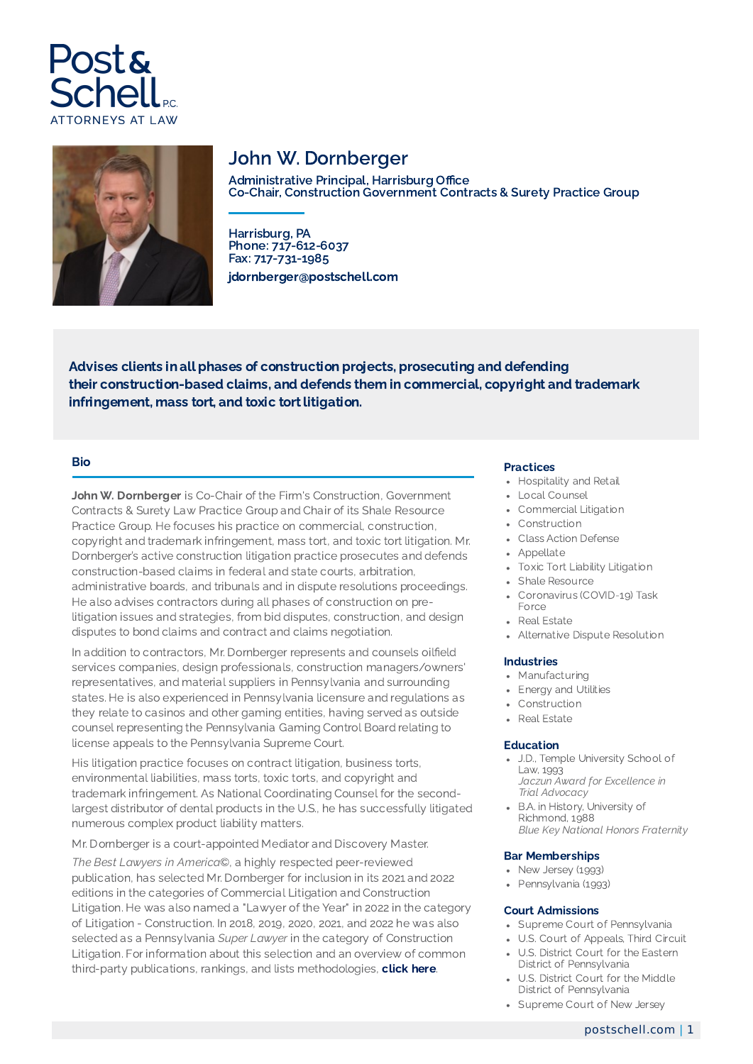



# John W. Dornberger

Administrative Principal, Harrisburg Office Co-Chair, Construction Government Contracts & Surety Practice Group

Harrisburg, PA Phone: 717-612-6037 Fax: 717-731-1985 jdornberger@postschell.com

Advises clients in all phases of construction projects, prosecuting and defending their construction-based claims, and defends them in commercial, copyright and trademark infringement, mass tort, and toxic tort litigation.

### Bio

John W. Dornberger is Co-Chair of the Firm's Construction, Government Contracts & Surety Law Practice Group and Chair of its Shale Resource Practice Group. He focuses his practice on commercial, construction, copyright and trademark infringement, mass tort, and toxic tort litigation. Mr. Dornberger's active construction litigation practice prosecutes and defends construction-based claims in federal and state courts, arbitration, administrative boards, and tribunals and in dispute resolutions proceedings. He also advises contractors during all phases of construction on prelitigation issues and strategies, from bid disputes, construction, and design disputes to bond claims and contract and claims negotiation.

In addition to contractors, Mr. Dornberger represents and counsels oilfield services companies, design professionals, construction managers/owners' representatives, and material suppliers in Pennsylvania and surrounding states. He is also experienced in Pennsylvania licensure and regulations as they relate to casinos and other gaming entities, having served as outside counsel representing the Pennsylvania Gaming Control Board relating to license appeals to the Pennsylvania Supreme Court.

His litigation practice focuses on contract litigation, business torts, environmental liabilities, mass torts, toxic torts, and copyright and trademark infringement. As National Coordinating Counsel for the secondlargest distributor of dental products in the U.S., he has successfully litigated numerous complex product liability matters.

Mr. Dornberger is a court-appointed Mediator and Discovery Master.

*The Best Lawyers in America*©, a highly respected peer-reviewed publication, has selected Mr. Dornberger for inclusion in its 2021 and 2022 editions in the categories of Commercial Litigation and Construction Litigation. He was also named a "Lawyer of the Year" in 2022 in the category of Litigation - Construction. In 2018, 2019, 2020, 2021, and 2022 he was also selected as a Pennsylvania *Super Lawyer* in the category of Construction Litigation. For information about this selection and an overview of common third-party publications, rankings, and lists methodologies, [click](https://www.postschell.com/info/disclaimer) here.

#### Practices

- Hospitality and Retail
- Local Counsel
- Commercial Litigation
- Construction
- Class Action Defense
- Appellate
- Toxic Tort Liability Litigation
- Shale Resource
- Coronavirus (COVID-19) Task Force
- Real Estate
- Alternative Dispute Resolution

### Industries

- Manufacturing
- Energy and Utilities
- Construction
- Real Estate

### Education

- J.D., Temple University School of  $L$ aw, 1993 *Jaczun Award for Excellence in Trial Advocacy*
- B.A. in History, University of Richmond, 1988 *Blue Key National Honors Fraternity*

### Bar Memberships

- New Jersey (1993)
- Pennsylvania (1993)

#### Court Admissions

- Supreme Court of Pennsylvania
- U.S. Court of Appeals, Third Circuit
- U.S. District Court for the Eastern District of Pennsylvania
- U.S. District Court for the Middle District of Pennsylvania
- Supreme Court of New Jersey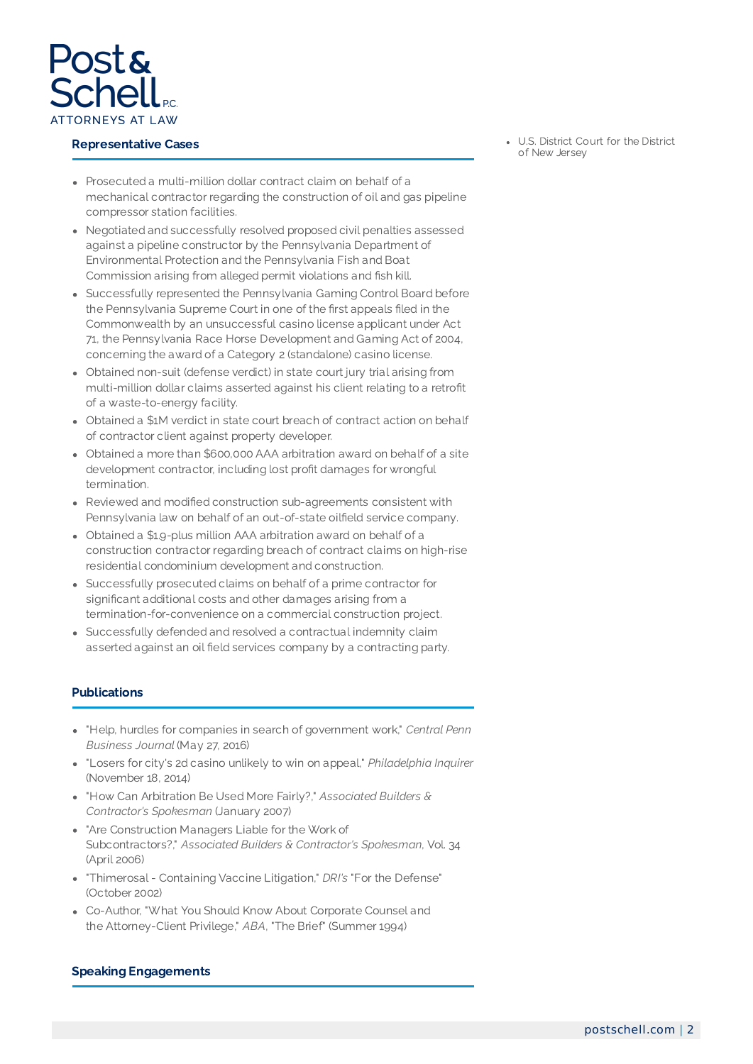

### Representative Cases

- U.S. District Court for the District of New Jersey
- Prosecuted a multi-million dollar contract claim on behalf of a mechanical contractor regarding the construction of oil and gas pipeline compressor station facilities.
- Negotiated and successfully resolved proposed civil penalties assessed against a pipeline constructor by the Pennsylvania Department of Environmental Protection and the Pennsylvania Fish and Boat Commission arising from alleged permit violations and fish kill.
- Successfully represented the Pennsylvania Gaming Control Board before the Pennsylvania Supreme Court in one of the first appeals filed in the Commonwealth by an unsuccessful casino license applicant under Act 71, the Pennsylvania Race Horse Development and Gaming Act of 2004, concerning the award of a Category 2 (standalone) casino license.
- Obtained non-suit (defense verdict) in state court jury trial arising from multi-million dollar claims asserted against his client relating to a retrofit of a waste-to-energy facility.
- Obtained a \$1M verdict in state court breach of contract action on behalf of contractor client against property developer.
- Obtained a more than \$600,000 AAA arbitration award on behalf of a site development contractor, including lost profit damages for wrongful termination.
- Reviewed and modified construction sub-agreements consistent with Pennsylvania law on behalf of an out-of-state oilfield service company.
- Obtained a \$1.9-plus million AAA arbitration award on behalf of a construction contractor regarding breach of contract claims on high-rise residential condominium development and construction.
- Successfully prosecuted claims on behalf of a prime contractor for significant additional costs and other damages arising from a termination-for-convenience on a commercial construction project.
- Successfully defended and resolved a contractual indemnity claim asserted against an oil field services company by a contracting party.

## **Publications**

- "Help, hurdles for companies in search of government work," *Central Penn Business Journal* (May 27, 2016)
- "Losers for city's 2d casino unlikely to win on appeal," *Philadelphia Inquirer* (November 18, 2014)
- "How Can Arbitration Be Used More Fairly?," *Associated Builders & Contractor's Spokesman* (January 2007)
- "Are Construction Managers Liable for the Work of Subcontractors?," *Associated Builders & Contractor's Spokesman*, Vol. 34 (April 2006)
- "Thimerosal Containing Vaccine Litigation," *DRI's* "For the Defense" (October 2002)
- Co-Author, "What You Should Know About Corporate Counsel and the Attorney-Client Privilege," *ABA*, "The Brief" (Summer 1994)

## Speaking Engagements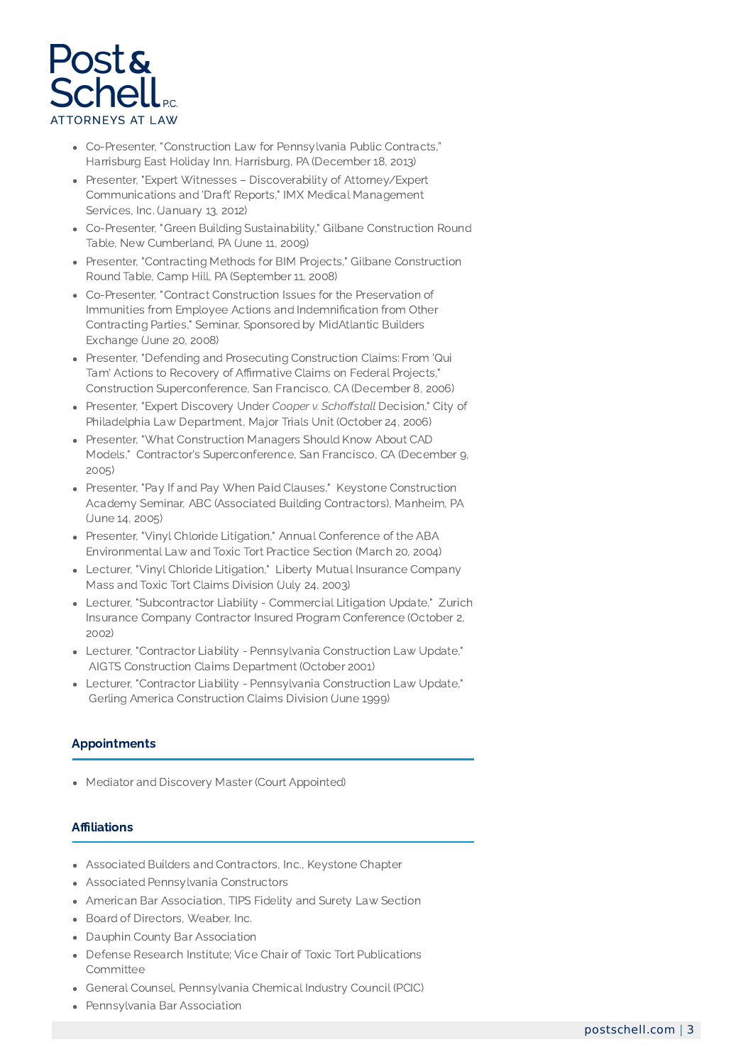

- Co-Presenter, "Construction Law for Pennsylvania Public Contracts," Harrisburg East Holiday Inn, Harrisburg, PA (December 18, 2013)
- Presenter, "Expert Witnesses Discoverability of Attorney/Expert Communications and 'Draft' Reports," IMX Medical Management Services, Inc. (January 13, 2012)
- Co-Presenter, "Green Building Sustainability," Gilbane Construction Round Table, New Cumberland, PA (June 11, 2009)
- Presenter, "Contracting Methods for BIM Projects," Gilbane Construction Round Table, Camp Hill, PA (September 11, 2008)
- Co-Presenter, "Contract Construction Issues for the Preservation of Immunities from Employee Actions and Indemnification from Other Contracting Parties," Seminar, Sponsored by MidAtlantic Builders Exchange (June 20, 2008)
- Presenter, "Defending and Prosecuting Construction Claims: From 'Qui Tam' Actions to Recovery of Affirmative Claims on Federal Projects," Construction Superconference, San Francisco, CA (December 8, 2006)
- Presenter, "Expert Discovery Under *Cooper v. Schoffstall* Decision," City of Philadelphia Law Department, Major Trials Unit (October 24, 2006)
- Presenter, "What Construction Managers Should Know About CAD Models," Contractor's Superconference, San Francisco, CA (December 9, 2005)
- Presenter, "Pay If and Pay When Paid Clauses," Keystone Construction Academy Seminar, ABC (Associated Building Contractors), Manheim, PA (June 14, 2005)
- Presenter, "Vinyl Chloride Litigation," Annual Conference of the ABA Environmental Law and Toxic Tort Practice Section (March 20, 2004)
- Lecturer, "Vinyl Chloride Litigation," Liberty Mutual Insurance Company Mass and Toxic Tort Claims Division (July 24, 2003)
- Lecturer, "Subcontractor Liability Commercial Litigation Update," Zurich Insurance Company Contractor Insured Program Conference (October 2, 2002)
- Lecturer, "Contractor Liability Pennsylvania Construction Law Update," AIGTS Construction Claims Department (October 2001)
- Lecturer, "Contractor Liability Pennsylvania Construction Law Update," Gerling America Construction Claims Division (June 1999)

# Appointments

Mediator and Discovery Master (Court Appointed)

# Affiliations

- Associated Builders and Contractors, Inc., Keystone Chapter
- Associated Pennsylvania Constructors
- American Bar Association, TIPS Fidelity and Surety Law Section
- Board of Directors, Weaber, Inc.
- Dauphin County Bar Association
- Defense Research Institute; Vice Chair of Toxic Tort Publications Committee
- General Counsel, Pennsylvania Chemical Industry Council (PCIC)
- Pennsylvania Bar Association